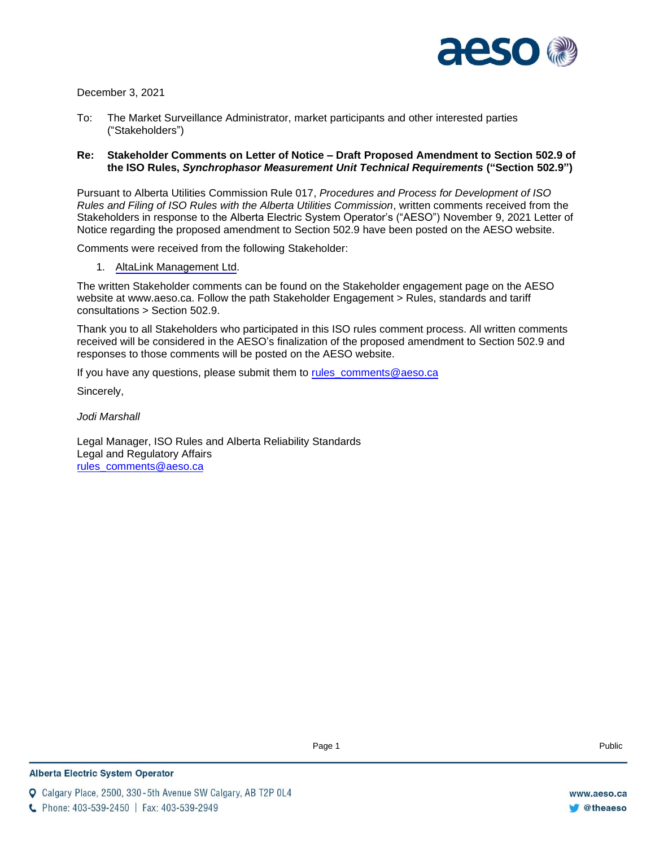

December 3, 2021

To: The Market Surveillance Administrator, market participants and other interested parties ("Stakeholders")

### **Re: Stakeholder Comments on Letter of Notice – Draft Proposed Amendment to Section 502.9 of the ISO Rules,** *Synchrophasor Measurement Unit Technical Requirements* **("Section 502.9")**

Pursuant to Alberta Utilities Commission Rule 017, *Procedures and Process for Development of ISO Rules and Filing of ISO Rules with the Alberta Utilities Commission*, written comments received from the Stakeholders in response to the Alberta Electric System Operator's ("AESO") November 9, 2021 Letter of Notice regarding the proposed amendment to Section 502.9 have been posted on the AESO website.

Comments were received from the following Stakeholder:

1. [AltaLink Management Ltd](#page-1-0).

The written Stakeholder comments can be found on the Stakeholder engagement page on the AESO website at www.aeso.ca. Follow the path Stakeholder Engagement > Rules, standards and tariff consultations > Section 502.9.

Thank you to all Stakeholders who participated in this ISO rules comment process. All written comments received will be considered in the AESO's finalization of the proposed amendment to Section 502.9 and responses to those comments will be posted on the AESO website.

Page 1

If you have any questions, please submit them to rules comments@aeso.ca

Sincerely,

*Jodi Marshall* 

Legal Manager, ISO Rules and Alberta Reliability Standards Legal and Regulatory Affairs [rules\\_comments@aeso.ca](mailto:rules_comments@aeso.ca)

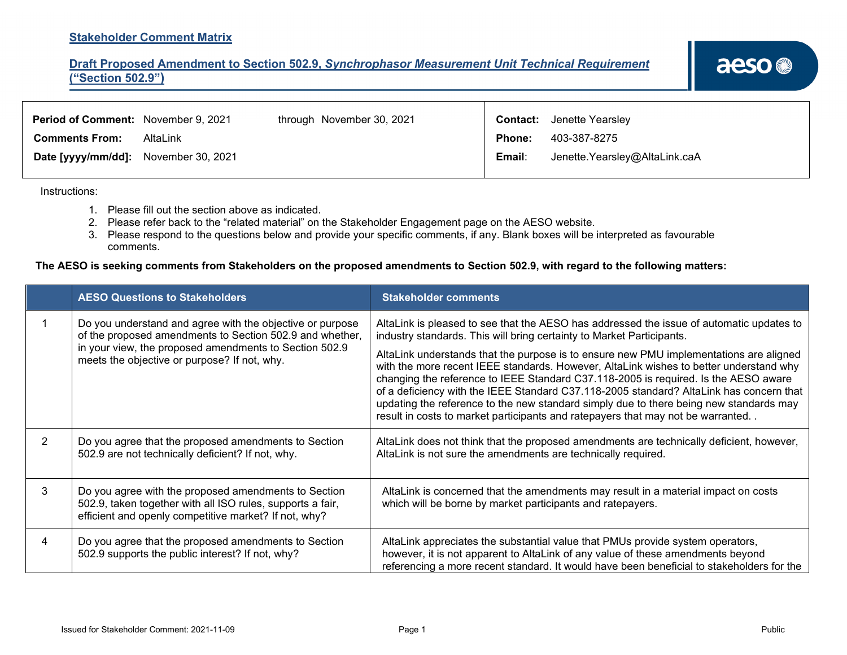### <span id="page-1-0"></span>**Stakeholder Comment Matrix**

## **Draft Proposed Amendment to Section 502.9,** *Synchrophasor Measurement Unit Technical Requirement*  **("Section 502.9")**

| Period of Comment: November 9, 2021  |          | through November 30, 2021 |               | <b>Contact:</b> Jenette Yearsley |
|--------------------------------------|----------|---------------------------|---------------|----------------------------------|
| <b>Comments From:</b>                | AltaLink |                           | <b>Phone:</b> | 403-387-8275                     |
| Date [yyyy/mm/dd]: November 30, 2021 |          |                           | Email:        | Jenette.Yearsley@AltaLink.caA    |

Instructions:

- 1. Please fill out the section above as indicated.
- 2. Please refer back to the "related material" on the Stakeholder Engagement page on the AESO website.
- 3. Please respond to the questions below and provide your specific comments, if any. Blank boxes will be interpreted as favourable comments.

### **The AESO is seeking comments from Stakeholders on the proposed amendments to Section 502.9, with regard to the following matters:**

|   | <b>AESO Questions to Stakeholders</b>                                                                                                                                       | <b>Stakeholder comments</b>                                                                                                                                                                                                                                                                                                                                                                                                                                                                                                                     |  |
|---|-----------------------------------------------------------------------------------------------------------------------------------------------------------------------------|-------------------------------------------------------------------------------------------------------------------------------------------------------------------------------------------------------------------------------------------------------------------------------------------------------------------------------------------------------------------------------------------------------------------------------------------------------------------------------------------------------------------------------------------------|--|
|   | Do you understand and agree with the objective or purpose<br>of the proposed amendments to Section 502.9 and whether,                                                       | AltaLink is pleased to see that the AESO has addressed the issue of automatic updates to<br>industry standards. This will bring certainty to Market Participants.                                                                                                                                                                                                                                                                                                                                                                               |  |
|   | in your view, the proposed amendments to Section 502.9<br>meets the objective or purpose? If not, why.                                                                      | AltaLink understands that the purpose is to ensure new PMU implementations are aligned<br>with the more recent IEEE standards. However, AltaLink wishes to better understand why<br>changing the reference to IEEE Standard C37.118-2005 is required. Is the AESO aware<br>of a deficiency with the IEEE Standard C37.118-2005 standard? AltaLink has concern that<br>updating the reference to the new standard simply due to there being new standards may<br>result in costs to market participants and ratepayers that may not be warranted |  |
| 2 | Do you agree that the proposed amendments to Section<br>502.9 are not technically deficient? If not, why.                                                                   | AltaLink does not think that the proposed amendments are technically deficient, however,<br>AltaLink is not sure the amendments are technically required.                                                                                                                                                                                                                                                                                                                                                                                       |  |
| 3 | Do you agree with the proposed amendments to Section<br>502.9, taken together with all ISO rules, supports a fair,<br>efficient and openly competitive market? If not, why? | AltaLink is concerned that the amendments may result in a material impact on costs<br>which will be borne by market participants and ratepayers.                                                                                                                                                                                                                                                                                                                                                                                                |  |
| 4 | Do you agree that the proposed amendments to Section<br>502.9 supports the public interest? If not, why?                                                                    | AltaLink appreciates the substantial value that PMUs provide system operators,<br>however, it is not apparent to AltaLink of any value of these amendments beyond<br>referencing a more recent standard. It would have been beneficial to stakeholders for the                                                                                                                                                                                                                                                                                  |  |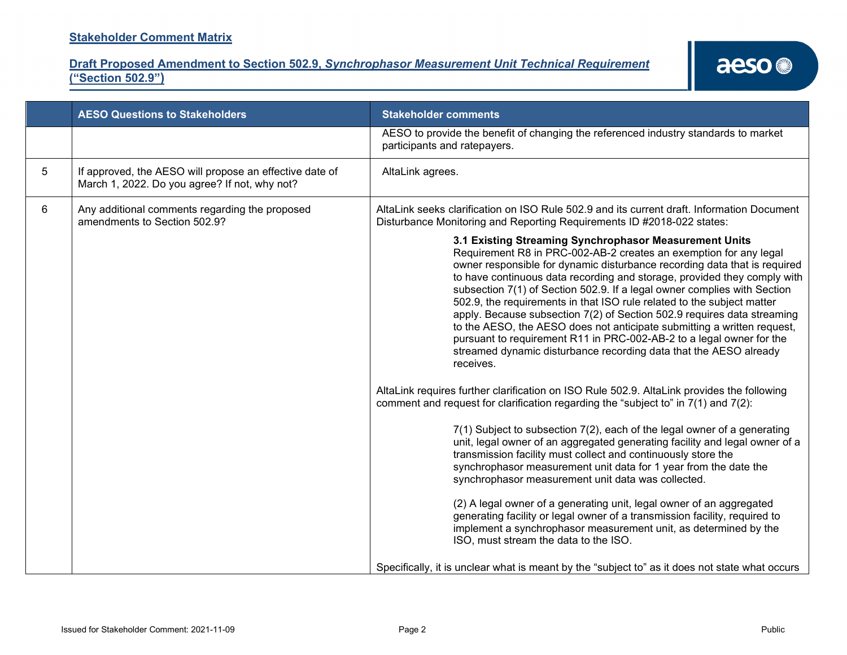**Draft Proposed Amendment to Section 502.9,** *Synchrophasor Measurement Unit Technical Requirement*  **("Section 502.9")**

|   | <b>AESO Questions to Stakeholders</b>                                                                    | <b>Stakeholder comments</b>                                                                                                                                                                                                                                                                                                                                                                                                                                                                                                                                                                                                                                                                                                                                |
|---|----------------------------------------------------------------------------------------------------------|------------------------------------------------------------------------------------------------------------------------------------------------------------------------------------------------------------------------------------------------------------------------------------------------------------------------------------------------------------------------------------------------------------------------------------------------------------------------------------------------------------------------------------------------------------------------------------------------------------------------------------------------------------------------------------------------------------------------------------------------------------|
|   |                                                                                                          | AESO to provide the benefit of changing the referenced industry standards to market<br>participants and ratepayers.                                                                                                                                                                                                                                                                                                                                                                                                                                                                                                                                                                                                                                        |
| 5 | If approved, the AESO will propose an effective date of<br>March 1, 2022. Do you agree? If not, why not? | AltaLink agrees.                                                                                                                                                                                                                                                                                                                                                                                                                                                                                                                                                                                                                                                                                                                                           |
| 6 | Any additional comments regarding the proposed<br>amendments to Section 502.9?                           | AltaLink seeks clarification on ISO Rule 502.9 and its current draft. Information Document<br>Disturbance Monitoring and Reporting Requirements ID #2018-022 states:                                                                                                                                                                                                                                                                                                                                                                                                                                                                                                                                                                                       |
|   |                                                                                                          | 3.1 Existing Streaming Synchrophasor Measurement Units<br>Requirement R8 in PRC-002-AB-2 creates an exemption for any legal<br>owner responsible for dynamic disturbance recording data that is required<br>to have continuous data recording and storage, provided they comply with<br>subsection 7(1) of Section 502.9. If a legal owner complies with Section<br>502.9, the requirements in that ISO rule related to the subject matter<br>apply. Because subsection 7(2) of Section 502.9 requires data streaming<br>to the AESO, the AESO does not anticipate submitting a written request,<br>pursuant to requirement R11 in PRC-002-AB-2 to a legal owner for the<br>streamed dynamic disturbance recording data that the AESO already<br>receives. |
|   |                                                                                                          | AltaLink requires further clarification on ISO Rule 502.9. AltaLink provides the following<br>comment and request for clarification regarding the "subject to" in 7(1) and 7(2):                                                                                                                                                                                                                                                                                                                                                                                                                                                                                                                                                                           |
|   |                                                                                                          | 7(1) Subject to subsection 7(2), each of the legal owner of a generating<br>unit, legal owner of an aggregated generating facility and legal owner of a<br>transmission facility must collect and continuously store the<br>synchrophasor measurement unit data for 1 year from the date the<br>synchrophasor measurement unit data was collected.                                                                                                                                                                                                                                                                                                                                                                                                         |
|   |                                                                                                          | (2) A legal owner of a generating unit, legal owner of an aggregated<br>generating facility or legal owner of a transmission facility, required to<br>implement a synchrophasor measurement unit, as determined by the<br>ISO, must stream the data to the ISO.                                                                                                                                                                                                                                                                                                                                                                                                                                                                                            |
|   |                                                                                                          | Specifically, it is unclear what is meant by the "subject to" as it does not state what occurs                                                                                                                                                                                                                                                                                                                                                                                                                                                                                                                                                                                                                                                             |